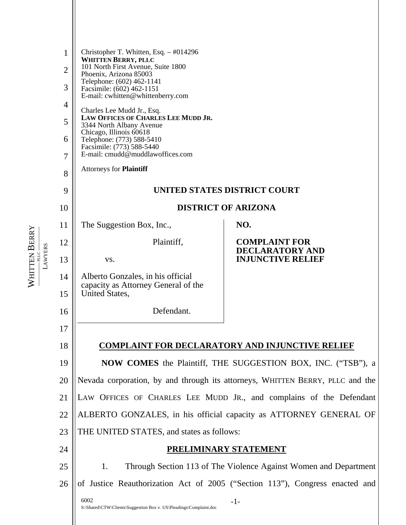| 1              | Christopher T. Whitten, Esq. $-$ #014296<br><b>WHITTEN BERRY, PLLC</b>                      |                                                                              |
|----------------|---------------------------------------------------------------------------------------------|------------------------------------------------------------------------------|
| $\overline{2}$ | 101 North First Avenue, Suite 1800<br>Phoenix, Arizona 85003                                |                                                                              |
| 3              | Telephone: (602) 462-1141<br>Facsimile: (602) 462-1151<br>E-mail: cwhitten@whittenberry.com |                                                                              |
| 4              | Charles Lee Mudd Jr., Esq.                                                                  |                                                                              |
| 5              | LAW OFFICES OF CHARLES LEE MUDD JR.<br>3344 North Albany Avenue<br>Chicago, Illinois 60618  |                                                                              |
| 6              | Telephone: (773) 588-5410<br>Facsimile: (773) 588-5440                                      |                                                                              |
| 7              | E-mail: cmudd@muddlawoffices.com                                                            |                                                                              |
| 8              | <b>Attorneys for Plaintiff</b>                                                              |                                                                              |
| 9              | UNITED STATES DISTRICT COURT                                                                |                                                                              |
| 10             | <b>DISTRICT OF ARIZONA</b>                                                                  |                                                                              |
| 11             | The Suggestion Box, Inc.,                                                                   | NO.                                                                          |
| 12             | Plaintiff,                                                                                  | <b>COMPLAINT FOR</b><br><b>DECLARATORY AND</b>                               |
| 13             | VS.                                                                                         | <b>INJUNCTIVE RELIEF</b>                                                     |
| 14<br>15       | Alberto Gonzales, in his official<br>capacity as Attorney General of the<br>United States,  |                                                                              |
| 16             | Defendant.                                                                                  |                                                                              |
| 17             |                                                                                             |                                                                              |
| 18             |                                                                                             | <b>COMPLAINT FOR DECLARATORY AND INJUNCTIVE RELIEF</b>                       |
| 19             |                                                                                             | <b>NOW COMES</b> the Plaintiff, THE SUGGESTION BOX, INC. ("TSB"), a          |
| 20             | Nevada corporation, by and through its attorneys, WHITTEN BERRY, PLLC and the               |                                                                              |
| 21             |                                                                                             | LAW OFFICES OF CHARLES LEE MUDD JR., and complains of the Defendant          |
| 22             |                                                                                             | ALBERTO GONZALES, in his official capacity as ATTORNEY GENERAL OF            |
| 23             | THE UNITED STATES, and states as follows:                                                   |                                                                              |
| 24             |                                                                                             | <u>PRELIMINARY STATEMENT</u>                                                 |
| 25             | 1.                                                                                          | Through Section 113 of The Violence Against Women and Department             |
| 26             |                                                                                             | of Justice Reauthorization Act of 2005 ("Section 113"), Congress enacted and |
|                | 6002<br>S:\Shared\CTW\Clients\Suggestion Box v. US\Pleadings\Complaint.doc                  | $-1-$                                                                        |

WHITTEN

WHITTEN BERRY<br>AWYERS **——————** PLLC **——————** LAWYERS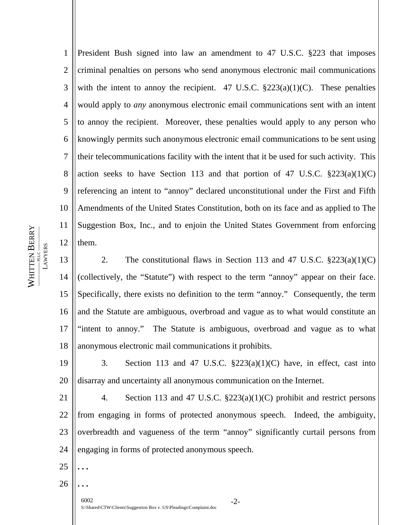1 2 3 4 5 6 7 8 9 10 11 12 President Bush signed into law an amendment to 47 U.S.C. §223 that imposes criminal penalties on persons who send anonymous electronic mail communications with the intent to annoy the recipient. 47 U.S.C.  $\S 223(a)(1)(C)$ . These penalties would apply to *any* anonymous electronic email communications sent with an intent to annoy the recipient. Moreover, these penalties would apply to any person who knowingly permits such anonymous electronic email communications to be sent using their telecommunications facility with the intent that it be used for such activity. This action seeks to have Section 113 and that portion of 47 U.S.C.  $\S 223(a)(1)(C)$ referencing an intent to "annoy" declared unconstitutional under the First and Fifth Amendments of the United States Constitution, both on its face and as applied to The Suggestion Box, Inc., and to enjoin the United States Government from enforcing them.

13 14 15 16 17 18 2. The constitutional flaws in Section 113 and 47 U.S.C.  $\S 223(a)(1)(C)$ (collectively, the "Statute") with respect to the term "annoy" appear on their face. Specifically, there exists no definition to the term "annoy." Consequently, the term and the Statute are ambiguous, overbroad and vague as to what would constitute an "intent to annoy." The Statute is ambiguous, overbroad and vague as to what anonymous electronic mail communications it prohibits.

19 20 3. Section 113 and 47 U.S.C.  $\S 223(a)(1)(C)$  have, in effect, cast into disarray and uncertainty all anonymous communication on the Internet.

21 22 23 24 4. Section 113 and 47 U.S.C. §223(a)(1)(C) prohibit and restrict persons from engaging in forms of protected anonymous speech. Indeed, the ambiguity, overbreadth and vagueness of the term "annoy" significantly curtail persons from engaging in forms of protected anonymous speech.

26

25

**. . .** 

**. . .** 

6002 -2- S:\Shared\CTW\Clients\Suggestion Box v. US\Pleadings\Complaint.doc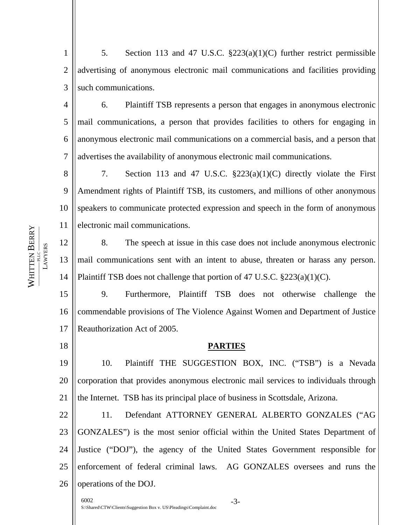1 2 3 5. Section 113 and 47 U.S.C. §223(a)(1)(C) further restrict permissible advertising of anonymous electronic mail communications and facilities providing such communications.

4 5 6 7 6. Plaintiff TSB represents a person that engages in anonymous electronic mail communications, a person that provides facilities to others for engaging in anonymous electronic mail communications on a commercial basis, and a person that advertises the availability of anonymous electronic mail communications.

8 9 10 11 7. Section 113 and 47 U.S.C. §223(a)(1)(C) directly violate the First Amendment rights of Plaintiff TSB, its customers, and millions of other anonymous speakers to communicate protected expression and speech in the form of anonymous electronic mail communications.

12 13 14 8. The speech at issue in this case does not include anonymous electronic mail communications sent with an intent to abuse, threaten or harass any person. Plaintiff TSB does not challenge that portion of 47 U.S.C. §223(a)(1)(C).

15 16 17 9. Furthermore, Plaintiff TSB does not otherwise challenge the commendable provisions of The Violence Against Women and Department of Justice Reauthorization Act of 2005.

# **PARTIES**

19 20 21 10. Plaintiff THE SUGGESTION BOX, INC. ("TSB") is a Nevada corporation that provides anonymous electronic mail services to individuals through the Internet. TSB has its principal place of business in Scottsdale, Arizona.

22 23 24 25 26 11. Defendant ATTORNEY GENERAL ALBERTO GONZALES ("AG GONZALES") is the most senior official within the United States Department of Justice ("DOJ"), the agency of the United States Government responsible for enforcement of federal criminal laws. AG GONZALES oversees and runs the operations of the DOJ.

6002 -3- S:\Shared\CTW\Clients\Suggestion Box v. US\Pleadings\Complaint.doc

WHITEN BERRY **——————** PLLC **—————— LAWYERS** LAWYERS WHITTEN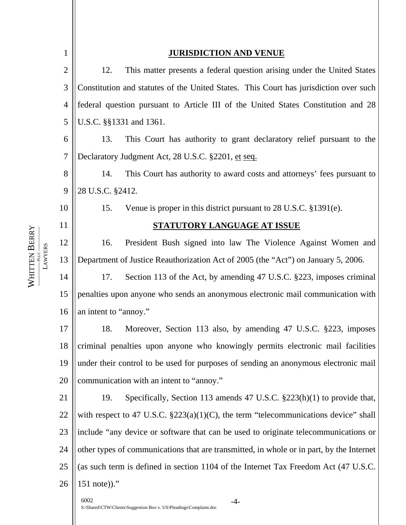| $\mathbf{1}$   | <b>JURISDICTION AND VENUE</b>                                                            |                                                                                         |  |
|----------------|------------------------------------------------------------------------------------------|-----------------------------------------------------------------------------------------|--|
| $\overline{c}$ | 12.                                                                                      | This matter presents a federal question arising under the United States                 |  |
| 3              | Constitution and statutes of the United States. This Court has jurisdiction over such    |                                                                                         |  |
| $\overline{4}$ | federal question pursuant to Article III of the United States Constitution and 28        |                                                                                         |  |
| 5              |                                                                                          | U.S.C. §§1331 and 1361.                                                                 |  |
| 6              | 13.                                                                                      | This Court has authority to grant declaratory relief pursuant to the                    |  |
| $\overline{7}$ | Declaratory Judgment Act, 28 U.S.C. §2201, et seq.                                       |                                                                                         |  |
| 8              | 14.                                                                                      | This Court has authority to award costs and attorneys' fees pursuant to                 |  |
| 9              | 28 U.S.C. §2412.                                                                         |                                                                                         |  |
| 10             | 15.                                                                                      | Venue is proper in this district pursuant to 28 U.S.C. §1391(e).                        |  |
| 11             | <b>STATUTORY LANGUAGE AT ISSUE</b>                                                       |                                                                                         |  |
| 12             | 16.                                                                                      | President Bush signed into law The Violence Against Women and                           |  |
| 13             |                                                                                          | Department of Justice Reauthorization Act of 2005 (the "Act") on January 5, 2006.       |  |
| 14             | 17.                                                                                      | Section 113 of the Act, by amending 47 U.S.C. §223, imposes criminal                    |  |
| 15             | penalties upon anyone who sends an anonymous electronic mail communication with          |                                                                                         |  |
| 16             | an intent to "annoy."                                                                    |                                                                                         |  |
| 17             | 18.                                                                                      | Moreover, Section 113 also, by amending 47 U.S.C. §223, imposes                         |  |
| 18             | criminal penalties upon anyone who knowingly permits electronic mail facilities          |                                                                                         |  |
| 19             | under their control to be used for purposes of sending an anonymous electronic mail      |                                                                                         |  |
| 20             | communication with an intent to "annoy."                                                 |                                                                                         |  |
| 21             | 19.                                                                                      | Specifically, Section 113 amends 47 U.S.C. §223(h)(1) to provide that,                  |  |
| 22             |                                                                                          | with respect to 47 U.S.C. $\S223(a)(1)(C)$ , the term "telecommunications device" shall |  |
| 23             |                                                                                          | include "any device or software that can be used to originate telecommunications or     |  |
| 24             | other types of communications that are transmitted, in whole or in part, by the Internet |                                                                                         |  |
| 25             | (as such term is defined in section 1104 of the Internet Tax Freedom Act (47 U.S.C.      |                                                                                         |  |
| 26             | $151$ note))."                                                                           |                                                                                         |  |
|                | 6002                                                                                     | $-4-$<br>S:\Shared\CTW\Clients\Suggestion Box v. US\Pleadings\Complaint.doc             |  |

WHITTEN WHITTEN BERRY<br>AWYERS **——————** PLLC **——————** LAWYERS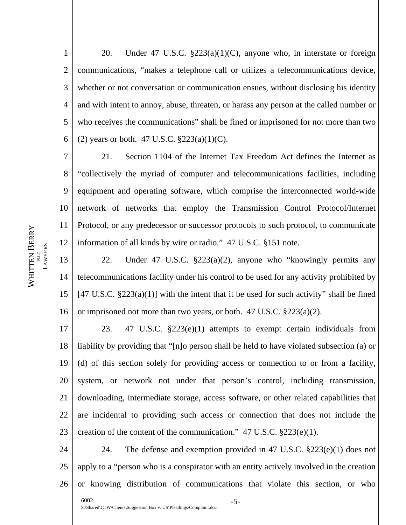1 2 3 4 5 6 20. Under 47 U.S.C. §223(a)(1)(C), anyone who, in interstate or foreign communications, "makes a telephone call or utilizes a telecommunications device, whether or not conversation or communication ensues, without disclosing his identity and with intent to annoy, abuse, threaten, or harass any person at the called number or who receives the communications" shall be fined or imprisoned for not more than two (2) years or both. 47 U.S.C.  $\S 223(a)(1)(C)$ .

7 8 9 10 11 12 21. Section 1104 of the Internet Tax Freedom Act defines the Internet as "collectively the myriad of computer and telecommunications facilities, including equipment and operating software, which comprise the interconnected world-wide network of networks that employ the Transmission Control Protocol/Internet Protocol, or any predecessor or successor protocols to such protocol, to communicate information of all kinds by wire or radio." 47 U.S.C. §151 note.

13 14 15 16 22. Under 47 U.S.C. §223(a)(2), anyone who "knowingly permits any telecommunications facility under his control to be used for any activity prohibited by  $[47 \text{ U.S.C. } \S223(a)(1)]$  with the intent that it be used for such activity" shall be fined or imprisoned not more than two years, or both. 47 U.S.C. §223(a)(2).

17 18 19 20 21 22 23 23. 47 U.S.C. §223(e)(1) attempts to exempt certain individuals from liability by providing that "[n]o person shall be held to have violated subsection (a) or (d) of this section solely for providing access or connection to or from a facility, system, or network not under that person's control, including transmission, downloading, intermediate storage, access software, or other related capabilities that are incidental to providing such access or connection that does not include the creation of the content of the communication."  $47 \text{ U.S.C. } $223(e)(1)$ .

24 25 26 24. The defense and exemption provided in 47 U.S.C.  $\S 223(e)(1)$  does not apply to a "person who is a conspirator with an entity actively involved in the creation or knowing distribution of communications that violate this section, or who

WHITTEN BERRY **——————** PLLC **—————— LAWYERS** LAWYERS WHITTEN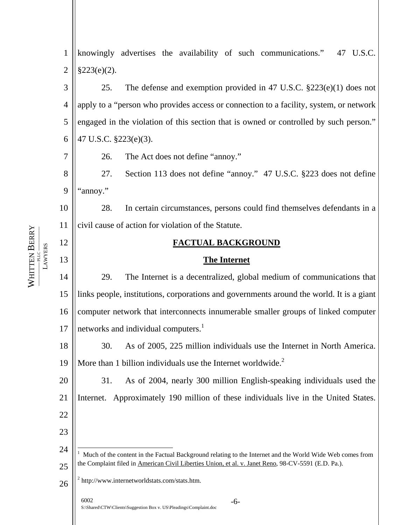1 knowingly advertises the availability of such communications." 47 U.S.C. 2  $§223(e)(2).$ 3 25. The defense and exemption provided in 47 U.S.C. §223(e)(1) does not 4 apply to a "person who provides access or connection to a facility, system, or network 5 engaged in the violation of this section that is owned or controlled by such person." 47 U.S.C. §223(e)(3). 6 7 26. The Act does not define "annoy." 8 27. Section 113 does not define "annoy." 47 U.S.C. §223 does not define 9 "annoy." 10 28. In certain circumstances, persons could find themselves defendants in a civil cause of action for violation of the Statute. 11 12 **FACTUAL BACKGROUND LAWYERS** LAWYERS 13 **The Internet** 14 29. The Internet is a decentralized, global medium of communications that links people, institutions, corporations and governments around the world. It is a giant 15 16 computer network that interconnects innumerable smaller groups of linked computer networks and individual computers. $<sup>1</sup>$  $<sup>1</sup>$  $<sup>1</sup>$ </sup> 17 18 30. As of 2005, 225 million individuals use the Internet in North America. More than 1 billion individuals use the Internet worldwide.<sup>[2](#page-5-1)</sup> 19 20 31. As of 2004, nearly 300 million English-speaking individuals used the 21 Internet. Approximately 190 million of these individuals live in the United States. 22 23  $\overline{a}$ 24 1 Much of the content in the Factual Background relating to the Internet and the World Wide Web comes from the Complaint filed in American Civil Liberties Union, et al. v. Janet Reno, 98-CV-5591 (E.D. Pa.). 25 <sup>2</sup> http://www.internetworldstats.com/stats.htm. 26 6002 -6- S:\Shared\CTW\Clients\Suggestion Box v. US\Pleadings\Complaint.doc

<span id="page-5-1"></span><span id="page-5-0"></span>WHITTEN

WHITTEN BERRY **——————** PLLC **——————**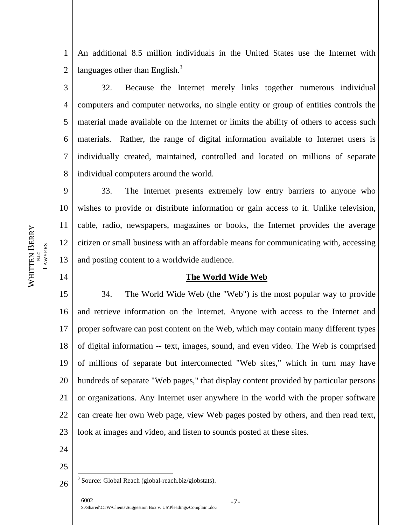1 2 An additional 8.5 million individuals in the United States use the Internet with languages other than English. $3$ 

3 4 5 6 7 8 32. Because the Internet merely links together numerous individual computers and computer networks, no single entity or group of entities controls the material made available on the Internet or limits the ability of others to access such materials. Rather, the range of digital information available to Internet users is individually created, maintained, controlled and located on millions of separate individual computers around the world.

9 10 11 12 13 33. The Internet presents extremely low entry barriers to anyone who wishes to provide or distribute information or gain access to it. Unlike television, cable, radio, newspapers, magazines or books, the Internet provides the average citizen or small business with an affordable means for communicating with, accessing and posting content to a worldwide audience.

# **The World Wide Web**

15 16 17 18 19 20 22 23 34. The World Wide Web (the "Web") is the most popular way to provide and retrieve information on the Internet. Anyone with access to the Internet and proper software can post content on the Web, which may contain many different types of digital information -- text, images, sound, and even video. The Web is comprised of millions of separate but interconnected "Web sites," which in turn may have hundreds of separate "Web pages," that display content provided by particular persons or organizations. Any Internet user anywhere in the world with the proper software can create her own Web page, view Web pages posted by others, and then read text, look at images and video, and listen to sounds posted at these sites.

24 25

<span id="page-6-0"></span> $\overline{a}$ 

21

6002 -7- S:\Shared\CTW\Clients\Suggestion Box v. US\Pleadings\Complaint.doc

WHITEN BERRY **——————** PLLC **—————— LAWYERS** LAWYERS WHITTEN

<sup>26</sup> <sup>3</sup> Source: Global Reach (global-reach.biz/globstats).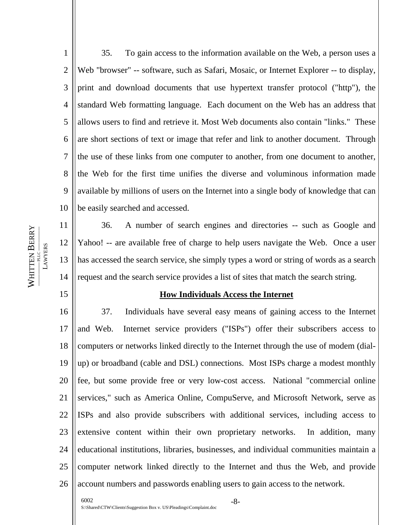1 2 3 4 5 6 7 8 9 10 35. To gain access to the information available on the Web, a person uses a Web "browser" -- software, such as Safari, Mosaic, or Internet Explorer -- to display, print and download documents that use hypertext transfer protocol ("http"), the standard Web formatting language. Each document on the Web has an address that allows users to find and retrieve it. Most Web documents also contain "links." These are short sections of text or image that refer and link to another document. Through the use of these links from one computer to another, from one document to another, the Web for the first time unifies the diverse and voluminous information made available by millions of users on the Internet into a single body of knowledge that can be easily searched and accessed.

11 12 13 14 36. A number of search engines and directories -- such as Google and Yahoo! -- are available free of charge to help users navigate the Web. Once a user has accessed the search service, she simply types a word or string of words as a search request and the search service provides a list of sites that match the search string.

#### **How Individuals Access the Internet**

16 17 18 19 20 21 22 23 24 25 26 37. Individuals have several easy means of gaining access to the Internet and Web. Internet service providers ("ISPs") offer their subscribers access to computers or networks linked directly to the Internet through the use of modem (dialup) or broadband (cable and DSL) connections. Most ISPs charge a modest monthly fee, but some provide free or very low-cost access. National "commercial online services," such as America Online, CompuServe, and Microsoft Network, serve as ISPs and also provide subscribers with additional services, including access to extensive content within their own proprietary networks. In addition, many educational institutions, libraries, businesses, and individual communities maintain a computer network linked directly to the Internet and thus the Web, and provide account numbers and passwords enabling users to gain access to the network.

WHITEN BERRY **——————** PLLC **—————— LAWYERS** LAWYERS WHITTEN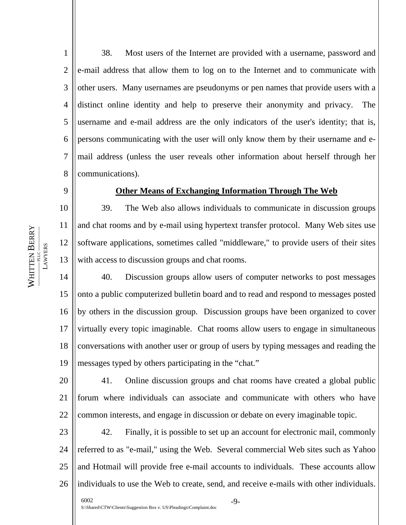1 2 3 4 5 6 7 8 38. Most users of the Internet are provided with a username, password and e-mail address that allow them to log on to the Internet and to communicate with other users. Many usernames are pseudonyms or pen names that provide users with a distinct online identity and help to preserve their anonymity and privacy. The username and e-mail address are the only indicators of the user's identity; that is, persons communicating with the user will only know them by their username and email address (unless the user reveals other information about herself through her communications).

# 9

# **Other Means of Exchanging Information Through The Web**

10 11 12 13 39. The Web also allows individuals to communicate in discussion groups and chat rooms and by e-mail using hypertext transfer protocol. Many Web sites use software applications, sometimes called "middleware," to provide users of their sites with access to discussion groups and chat rooms.

14 15 16 17 18 19 40. Discussion groups allow users of computer networks to post messages onto a public computerized bulletin board and to read and respond to messages posted by others in the discussion group. Discussion groups have been organized to cover virtually every topic imaginable. Chat rooms allow users to engage in simultaneous conversations with another user or group of users by typing messages and reading the messages typed by others participating in the "chat."

20 21 22 41. Online discussion groups and chat rooms have created a global public forum where individuals can associate and communicate with others who have common interests, and engage in discussion or debate on every imaginable topic.

23 24 25 26 42. Finally, it is possible to set up an account for electronic mail, commonly referred to as "e-mail," using the Web. Several commercial Web sites such as Yahoo and Hotmail will provide free e-mail accounts to individuals. These accounts allow individuals to use the Web to create, send, and receive e-mails with other individuals.

WHITEN BERRY **——————** PLLC **—————— LAWYERS** LAWYERS WHITTEN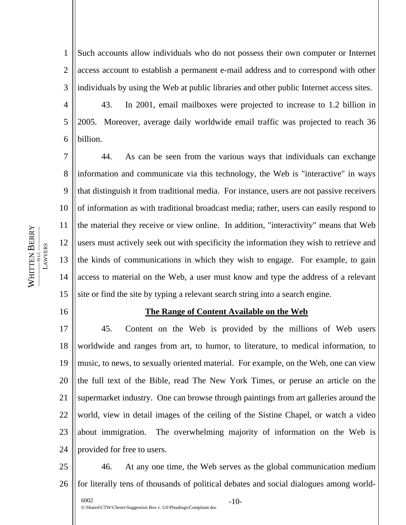1 2 3 Such accounts allow individuals who do not possess their own computer or Internet access account to establish a permanent e-mail address and to correspond with other individuals by using the Web at public libraries and other public Internet access sites.

43. In 2001, email mailboxes were projected to increase to 1.2 billion in 2005. Moreover, average daily worldwide email traffic was projected to reach 36 billion.

7 8 9 10 11 12 13 14 15 44. As can be seen from the various ways that individuals can exchange information and communicate via this technology, the Web is "interactive" in ways that distinguish it from traditional media. For instance, users are not passive receivers of information as with traditional broadcast media; rather, users can easily respond to the material they receive or view online. In addition, "interactivity" means that Web users must actively seek out with specificity the information they wish to retrieve and the kinds of communications in which they wish to engage. For example, to gain access to material on the Web, a user must know and type the address of a relevant site or find the site by typing a relevant search string into a search engine.

16

WHITTEN

WHITEN BERRY **——————** PLLC **——————** LAWYERS

**LAWYERS** 

4

5

6

#### **The Range of Content Available on the Web**

17 18 19 20 21 22 23 24 45. Content on the Web is provided by the millions of Web users worldwide and ranges from art, to humor, to literature, to medical information, to music, to news, to sexually oriented material. For example, on the Web, one can view the full text of the Bible, read The New York Times, or peruse an article on the supermarket industry. One can browse through paintings from art galleries around the world, view in detail images of the ceiling of the Sistine Chapel, or watch a video about immigration. The overwhelming majority of information on the Web is provided for free to users.

25 26 46. At any one time, the Web serves as the global communication medium for literally tens of thousands of political debates and social dialogues among world-

6002 -10- S:\Shared\CTW\Clients\Suggestion Box v. US\Pleadings\Complaint.doc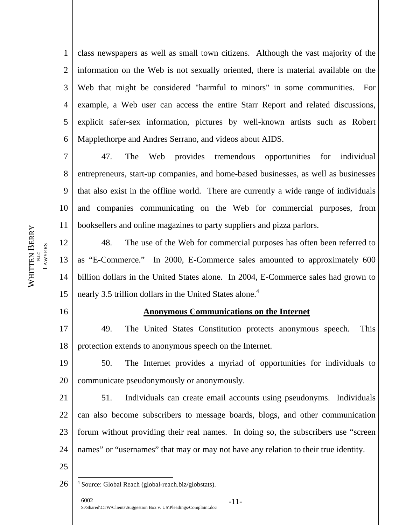1 2 3 4 5 6 class newspapers as well as small town citizens. Although the vast majority of the information on the Web is not sexually oriented, there is material available on the Web that might be considered "harmful to minors" in some communities. For example, a Web user can access the entire Starr Report and related discussions, explicit safer-sex information, pictures by well-known artists such as Robert Mapplethorpe and Andres Serrano, and videos about AIDS.

7 8 9 10 11 47. The Web provides tremendous opportunities for individual entrepreneurs, start-up companies, and home-based businesses, as well as businesses that also exist in the offline world. There are currently a wide range of individuals and companies communicating on the Web for commercial purposes, from booksellers and online magazines to party suppliers and pizza parlors.

12 13 14 15 48. The use of the Web for commercial purposes has often been referred to as "E-Commerce." In 2000, E-Commerce sales amounted to approximately 600 billion dollars in the United States alone. In 2004, E-Commerce sales had grown to nearly 3.5 trillion dollars in the United States alone.<sup>4</sup>

16

WHITTEN

WHITEN BERRY **——————** PLLC **——————** LAWYERS

**LAWYERS** 

25

#### **Anonymous Communications on the Internet**

17 18 49. The United States Constitution protects anonymous speech. This protection extends to anonymous speech on the Internet.

19 20 50. The Internet provides a myriad of opportunities for individuals to communicate pseudonymously or anonymously.

21 22 23 24 51. Individuals can create email accounts using pseudonyms. Individuals can also become subscribers to message boards, blogs, and other communication forum without providing their real names. In doing so, the subscribers use "screen names" or "usernames" that may or may not have any relation to their true identity.

26  $\overline{a}$ <sup>4</sup> Source: Global Reach (global-reach.biz/globstats).

<span id="page-10-0"></span>6002 -11- S:\Shared\CTW\Clients\Suggestion Box v. US\Pleadings\Complaint.doc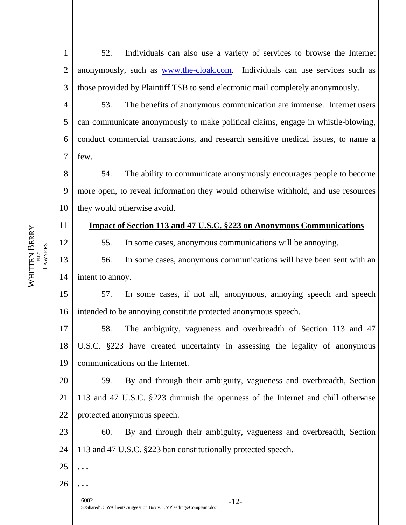1 2 3 52. Individuals can also use a variety of services to browse the Internet anonymously, such as [www.the-cloak.com.](http://www.the-cloak.com/) Individuals can use services such as those provided by Plaintiff TSB to send electronic mail completely anonymously.

4 5 6 7 53. The benefits of anonymous communication are immense. Internet users can communicate anonymously to make political claims, engage in whistle-blowing, conduct commercial transactions, and research sensitive medical issues, to name a few.

8 9 10 54. The ability to communicate anonymously encourages people to become more open, to reveal information they would otherwise withhold, and use resources they would otherwise avoid.

# **Impact of Section 113 and 47 U.S.C. §223 on Anonymous Communications**

55. In some cases, anonymous communications will be annoying.

13 14 56. In some cases, anonymous communications will have been sent with an intent to annoy.

15 16 57. In some cases, if not all, anonymous, annoying speech and speech intended to be annoying constitute protected anonymous speech.

17 18 19 58. The ambiguity, vagueness and overbreadth of Section 113 and 47 U.S.C. §223 have created uncertainty in assessing the legality of anonymous communications on the Internet.

20 21 22 59. By and through their ambiguity, vagueness and overbreadth, Section 113 and 47 U.S.C. §223 diminish the openness of the Internet and chill otherwise protected anonymous speech.

23 24 60. By and through their ambiguity, vagueness and overbreadth, Section 113 and 47 U.S.C. §223 ban constitutionally protected speech.

26

25

**. . .** 

**. . .** 

6002 -12- S:\Shared\CTW\Clients\Suggestion Box v. US\Pleadings\Complaint.doc

WHITEN BERRY **——————** PLLC **—————— LAWYERS** LAWYERS WHITTEN

11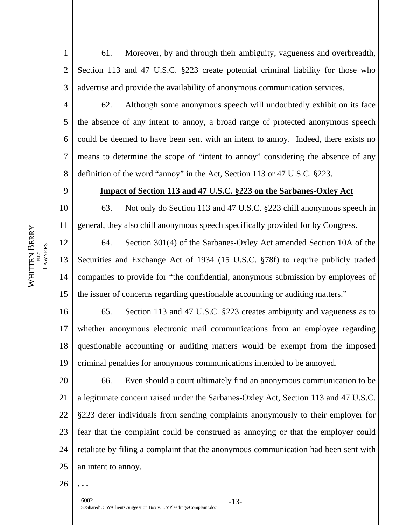1 2 3 61. Moreover, by and through their ambiguity, vagueness and overbreadth, Section 113 and 47 U.S.C. §223 create potential criminal liability for those who advertise and provide the availability of anonymous communication services.

4 5 6 7 8 62. Although some anonymous speech will undoubtedly exhibit on its face the absence of any intent to annoy, a broad range of protected anonymous speech could be deemed to have been sent with an intent to annoy. Indeed, there exists no means to determine the scope of "intent to annoy" considering the absence of any definition of the word "annoy" in the Act, Section 113 or 47 U.S.C. §223.

#### **Impact of Section 113 and 47 U.S.C. §223 on the Sarbanes-Oxley Act**

10 11 63. Not only do Section 113 and 47 U.S.C. §223 chill anonymous speech in general, they also chill anonymous speech specifically provided for by Congress.

12 13 14 15 64. Section 301(4) of the Sarbanes-Oxley Act amended Section 10A of the Securities and Exchange Act of 1934 (15 U.S.C. §78f) to require publicly traded companies to provide for "the confidential, anonymous submission by employees of the issuer of concerns regarding questionable accounting or auditing matters."

16 17 18 19 65. Section 113 and 47 U.S.C. §223 creates ambiguity and vagueness as to whether anonymous electronic mail communications from an employee regarding questionable accounting or auditing matters would be exempt from the imposed criminal penalties for anonymous communications intended to be annoyed.

20 21 22 23 24 25 66. Even should a court ultimately find an anonymous communication to be a legitimate concern raised under the Sarbanes-Oxley Act, Section 113 and 47 U.S.C. §223 deter individuals from sending complaints anonymously to their employer for fear that the complaint could be construed as annoying or that the employer could retaliate by filing a complaint that the anonymous communication had been sent with an intent to annoy.

26

**. . .** 

6002 -13- S:\Shared\CTW\Clients\Suggestion Box v. US\Pleadings\Complaint.doc

# WHITEN BERRY **——————** PLLC **—————— LAWYERS** LAWYERS WHITTEN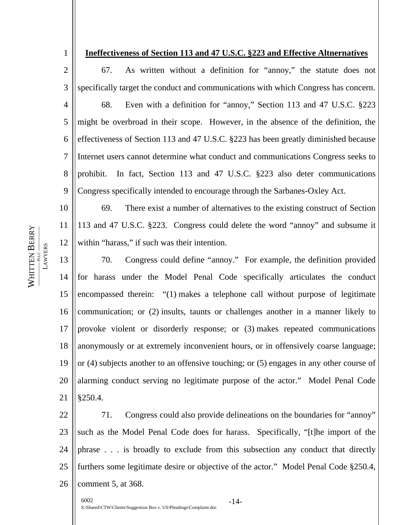1

# **Ineffectiveness of Section 113 and 47 U.S.C. §223 and Effective Altnernatives**

2 3 4 5 6 7 8 9 67. As written without a definition for "annoy," the statute does not specifically target the conduct and communications with which Congress has concern. 68. Even with a definition for "annoy," Section 113 and 47 U.S.C. §223 might be overbroad in their scope. However, in the absence of the definition, the effectiveness of Section 113 and 47 U.S.C. §223 has been greatly diminished because Internet users cannot determine what conduct and communications Congress seeks to prohibit. In fact, Section 113 and 47 U.S.C. §223 also deter communications Congress specifically intended to encourage through the Sarbanes-Oxley Act.

WHITEN BERRY **——————** PLLC **—————— LAWYERS** LAWYERS WHITTEN

10 11 12 69. There exist a number of alternatives to the existing construct of Section 113 and 47 U.S.C. §223. Congress could delete the word "annoy" and subsume it within "harass," if such was their intention.

13 14 15 16 17 18 19 20 21 70. Congress could define "annoy." For example, the definition provided for harass under the Model Penal Code specifically articulates the conduct encompassed therein: "(1) makes a telephone call without purpose of legitimate communication; or (2) insults, taunts or challenges another in a manner likely to provoke violent or disorderly response; or (3) makes repeated communications anonymously or at extremely inconvenient hours, or in offensively coarse language; or (4) subjects another to an offensive touching; or (5) engages in any other course of alarming conduct serving no legitimate purpose of the actor." Model Penal Code §250.4.

22 23 24 25 26 71. Congress could also provide delineations on the boundaries for "annoy" such as the Model Penal Code does for harass. Specifically, "[t]he import of the phrase . . . is broadly to exclude from this subsection any conduct that directly furthers some legitimate desire or objective of the actor." Model Penal Code §250.4, comment 5, at 368.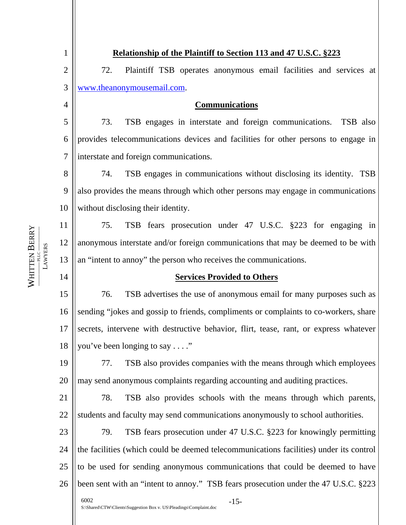| 1              | Relationship of the Plaintiff to Section 113 and 47 U.S.C. §223                        |
|----------------|----------------------------------------------------------------------------------------|
| $\overline{2}$ | 72.<br>Plaintiff TSB operates anonymous email facilities and services at               |
| 3              | www.theanonymousemail.com.                                                             |
| 4              | <b>Communications</b>                                                                  |
| 5              | 73.<br>TSB engages in interstate and foreign communications. TSB also                  |
| 6              | provides telecommunications devices and facilities for other persons to engage in      |
| $\overline{7}$ | interstate and foreign communications.                                                 |
| 8              | TSB engages in communications without disclosing its identity. TSB<br>74.              |
| 9              | also provides the means through which other persons may engage in communications       |
| 10             | without disclosing their identity.                                                     |
| 11             | TSB fears prosecution under 47 U.S.C. §223 for engaging in<br>75.                      |
| 12             | anonymous interstate and/or foreign communications that may be deemed to be with       |
| 13             | an "intent to annoy" the person who receives the communications.                       |
| 14             | <b>Services Provided to Others</b>                                                     |
| 15             | 76.<br>TSB advertises the use of anonymous email for many purposes such as             |
| 16             | sending "jokes and gossip to friends, compliments or complaints to co-workers, share   |
| 17             | secrets, intervene with destructive behavior, flirt, tease, rant, or express whatever  |
| 18             | you've been longing to say"                                                            |
| 19             | TSB also provides companies with the means through which employees<br>77.              |
| 20             | may send anonymous complaints regarding accounting and auditing practices.             |
| 21             | 78.<br>TSB also provides schools with the means through which parents,                 |
| 22             | students and faculty may send communications anonymously to school authorities.        |
| 23             | TSB fears prosecution under 47 U.S.C. §223 for knowingly permitting<br>79.             |
| 24             | the facilities (which could be deemed telecommunications facilities) under its control |
| 25             | to be used for sending anonymous communications that could be deemed to have           |
| 26             | been sent with an "intent to annoy." TSB fears prosecution under the 47 U.S.C. §223    |
|                | 6002<br>$-15-$<br>S:\Shared\CTW\Clients\Suggestion Box v. US\Pleadings\Complaint.doc   |

WHITTEN WHITTEN BERRY<br>AWYERS **——————** PLLC **——————** LAWYERS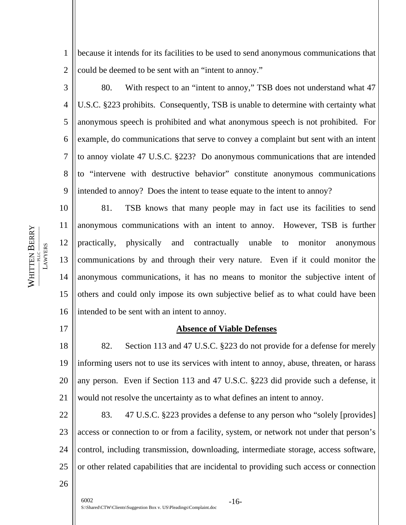1 2 because it intends for its facilities to be used to send anonymous communications that could be deemed to be sent with an "intent to annoy."

3 4 5 6 7 8 9 80. With respect to an "intent to annoy," TSB does not understand what 47 U.S.C. §223 prohibits. Consequently, TSB is unable to determine with certainty what anonymous speech is prohibited and what anonymous speech is not prohibited. For example, do communications that serve to convey a complaint but sent with an intent to annoy violate 47 U.S.C. §223? Do anonymous communications that are intended to "intervene with destructive behavior" constitute anonymous communications intended to annoy? Does the intent to tease equate to the intent to annoy?

10 11 12 13 14 15 16 81. TSB knows that many people may in fact use its facilities to send anonymous communications with an intent to annoy. However, TSB is further practically, physically and contractually unable to monitor anonymous communications by and through their very nature. Even if it could monitor the anonymous communications, it has no means to monitor the subjective intent of others and could only impose its own subjective belief as to what could have been intended to be sent with an intent to annoy.

17

26

# **Absence of Viable Defenses**

18 19 20 21 82. Section 113 and 47 U.S.C. §223 do not provide for a defense for merely informing users not to use its services with intent to annoy, abuse, threaten, or harass any person. Even if Section 113 and 47 U.S.C. §223 did provide such a defense, it would not resolve the uncertainty as to what defines an intent to annoy.

22 23 24 25 83. 47 U.S.C. §223 provides a defense to any person who "solely [provides] access or connection to or from a facility, system, or network not under that person's control, including transmission, downloading, intermediate storage, access software, or other related capabilities that are incidental to providing such access or connection

WHITTEN WHITEN BERRY **——————** PLLC **——————**

LAWYERS

**LAWYERS** 

6002 -16- S:\Shared\CTW\Clients\Suggestion Box v. US\Pleadings\Complaint.doc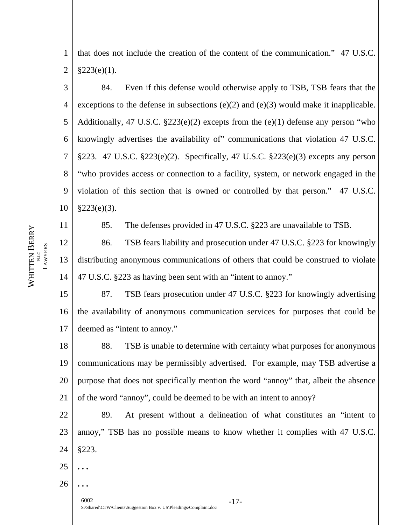1 2 that does not include the creation of the content of the communication." 47 U.S.C.  $§223(e)(1).$ 

3 4 5 6 7 8 9 10 84. Even if this defense would otherwise apply to TSB, TSB fears that the exceptions to the defense in subsections  $(e)(2)$  and  $(e)(3)$  would make it inapplicable. Additionally, 47 U.S.C.  $\S223(e)(2)$  excepts from the  $(e)(1)$  defense any person "who knowingly advertises the availability of" communications that violation 47 U.S.C.  $§223.47 \text{ U.S.C. } §223(e)(2)$ . Specifically, 47 U.S.C.  $§223(e)(3)$  excepts any person "who provides access or connection to a facility, system, or network engaged in the violation of this section that is owned or controlled by that person." 47 U.S.C.  $§223(e)(3).$ 

85. The defenses provided in 47 U.S.C. §223 are unavailable to TSB.

12 13 14 86. TSB fears liability and prosecution under 47 U.S.C. §223 for knowingly distributing anonymous communications of others that could be construed to violate 47 U.S.C. §223 as having been sent with an "intent to annoy."

15 16 17 87. TSB fears prosecution under 47 U.S.C. §223 for knowingly advertising the availability of anonymous communication services for purposes that could be deemed as "intent to annoy."

18 19 20 21 88. TSB is unable to determine with certainty what purposes for anonymous communications may be permissibly advertised. For example, may TSB advertise a purpose that does not specifically mention the word "annoy" that, albeit the absence of the word "annoy", could be deemed to be with an intent to annoy?

22 23 24 25 89. At present without a delineation of what constitutes an "intent to annoy," TSB has no possible means to know whether it complies with 47 U.S.C. §223.

WHITEN BERRY **——————** PLLC **—————— LAWYERS** LAWYERS -PLLC-WHITTEN

11

26

**. . .** 

**. . .**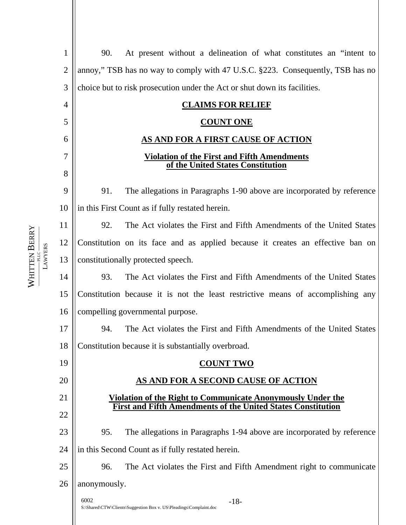1 2 3 4 5 6 7 8 9 10 11 12 13 14 15 16 17 18 19 20 21 22 23 24 25 26 90. At present without a delineation of what constitutes an "intent to annoy," TSB has no way to comply with 47 U.S.C. §223. Consequently, TSB has no choice but to risk prosecution under the Act or shut down its facilities. **CLAIMS FOR RELIEF COUNT ONE AS AND FOR A FIRST CAUSE OF ACTION Violation of the First and Fifth Amendments of the United States Constitution** 91. The allegations in Paragraphs 1-90 above are incorporated by reference in this First Count as if fully restated herein. 92. The Act violates the First and Fifth Amendments of the United States Constitution on its face and as applied because it creates an effective ban on constitutionally protected speech. 93. The Act violates the First and Fifth Amendments of the United States Constitution because it is not the least restrictive means of accomplishing any compelling governmental purpose. 94. The Act violates the First and Fifth Amendments of the United States Constitution because it is substantially overbroad. **COUNT TWO AS AND FOR A SECOND CAUSE OF ACTION Violation of the Right to Communicate Anonymously Under the First and Fifth Amendments of the United States Constitution** 95. The allegations in Paragraphs 1-94 above are incorporated by reference in this Second Count as if fully restated herein. 96. The Act violates the First and Fifth Amendment right to communicate anonymously. 6002 -18- S:\Shared\CTW\Clients\Suggestion Box v. US\Pleadings\Complaint.doc

WHITTEN

WHITEN BERRY **——————** PLLC **——————** LAWYERS

**LAWYERS**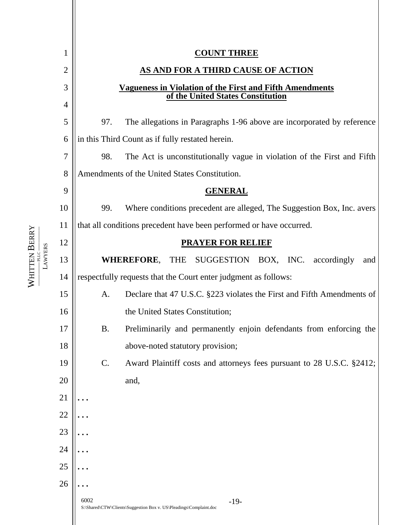

WHITEN BERRY **——————** PLLC **—————— LAWYERS** LAWYERS -PLLC-WHITTEN